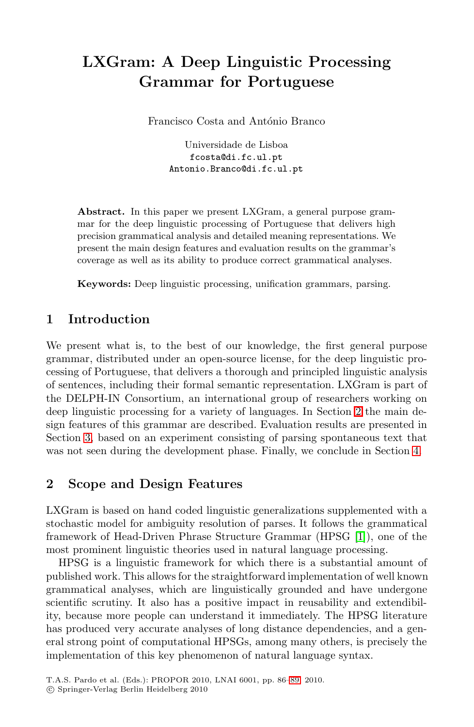# **LXGram: A Deep Linguistic Processing Grammar for Portuguese**

Francisco Costa and António Branco

Universidade de Lisboa fcosta@di.fc.ul.pt Antonio.Branco@di.fc.ul.pt

**Abstract.** In this paper we present LXGram, a general purpose grammar for the deep linguistic processing of Portuguese that delivers high precision grammatical analysis and detailed meaning representations. We present the main design features and evaluation results on the grammar's coverage as well as its ability to produce correct grammatical analyses.

**Keywords:** Deep linguistic processing, unification grammars, parsing.

## **1 Introduction**

We present what is, to the best of our knowledge, the [fi](#page-3-0)rst general purpose grammar, distributed under an open-source license, for the deep linguistic processing of Portuguese, that delivers a thorough and principled linguistic analysis of sentences, including their formal semantic representation. LXGram is part of the DELPH-IN Consortium, an international group of researchers working on deep linguistic processing for a variety of languages. In Section 2 the main design features of this grammar are described. Evaluation results are presented in Section 3, based on an experiment consisting [o](#page-3-1)f parsing spontaneous text that was not seen during the development phase. Finally, we conclude in Section 4.

# **2 Scope and Design Features**

LXGram is based on hand coded linguistic generalizations supplemented with a stochastic model for ambiguity resolution of parses. It follows the grammatical framework of Head-Driven Phrase Structure Grammar (HPSG [1]), one of the most prominent linguistic theories used in natural language processing.

HPSG is a linguistic framework for which there is a substantial amount of published work. This allows for t[he](#page-3-2) straightforward implementation of well known grammatical analyses, which are linguistically grounded and have undergone scientific scrutiny. It also has a positive impact in reusability and extendibility, because more people can understand it immediately. The HPSG literature has produced very accurate analyses of long distance dependencies, and a general strong point of computational HPSGs, among many others, is precisely the implementation of this key phenomenon of natural language syntax.

T.A.S. Pardo et al. (Eds.): PROPOR 2010, LNAI 6001, pp. 86–89, 2010.

<sup>-</sup>c Springer-Verlag Berlin Heidelberg 2010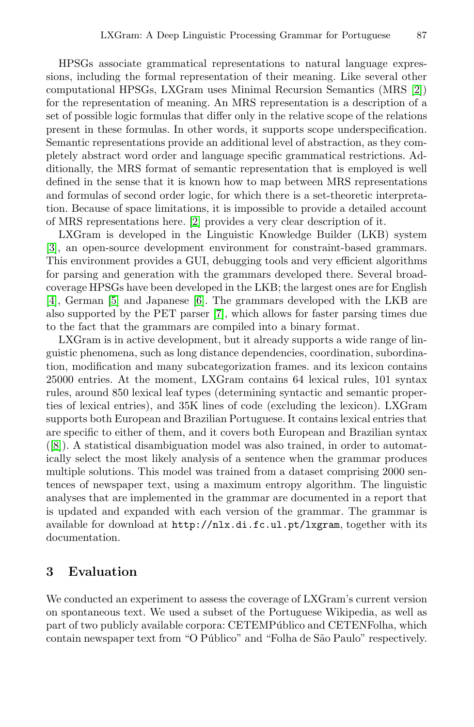HPSGs associate grammatical representations to natural language expressions, including the formal representation of their meaning. Like several other computational HPSGs, LXGram uses Minimal Recursion Semantics (MRS [2]) for the representation of meaning. An MRS representation is a description of a set of possi[ble](#page-3-3) logic formulas that differ only in the relative scope of the relations present in these formulas. In other words, it supports scope underspecification. Semantic representations provide an additional level of abstraction, as they completely abstract word order and language specific grammatical restrictions. Additionally, the MRS format of semantic representation that is employed is well defined in the sense that it is known how to map between MRS representations and formula[s](#page-3-4) of second order logic, for which there is a set-theoretic interpretation. Because of [sp](#page-3-5)ace limitations, it is impossible to provide a detailed account of MRS representations here. [2] provides a very clear description of it.

LXGram is developed in the Linguistic Knowledge Builder (LKB) system [3], an open-source development environment for constraint-based grammars. This environment provides a GUI, debugging tools and very efficient algorithms for parsing and generation with the grammars developed there. Several broadcoverage HPSGs have been developed in the LKB; the largest ones are for English [4], German [5] and Japanese [6]. The grammars developed with the LKB are also supported by the PET parser [7], which allows for faster parsing times due to the fact that the grammars are compiled into a binary format.

LXGram is in active development, but it already supports a wide range of linguistic phenomena, such as long distance dependencies, coordination, subordination, modification and many subcategorization frames. and its lexicon contains 25000 entries. At the moment, LXGram contains 64 lexical rules, 101 syntax rules, around 850 lexical leaf types (determining syntactic and semantic properties of lexical entries), and 35K lines of code (excluding the lexicon). LXGram supports both European and Brazilian Portuguese. It contains lexical entries that are specific to either of them, and it covers both European and Brazilian syntax ([8]). A statistical disambiguation model was also trained, in order to automatically select the most likely analysis of a sentence when the grammar produces multiple solutions. This model was trained from a dataset comprising 2000 sentences of newspaper text, using a maximum entropy algorithm. The linguistic analyses that are implemented in the grammar are documented in a report that is updated and expanded with each version of the grammar. The grammar is available for download at http://nlx.di.fc.ul.pt/lxgram, together with its documentation.

# **3 Evaluation**

We conducted an experiment to assess the coverage of LXGram's current version on spontaneous text. We used a subset of the Portuguese Wikipedia, as well as part of two publicly available corpora: CETEMP $\acute{u}$ blico and CETENFolha, which contain newspaper text from "O Público" and "Folha de São Paulo" respectively.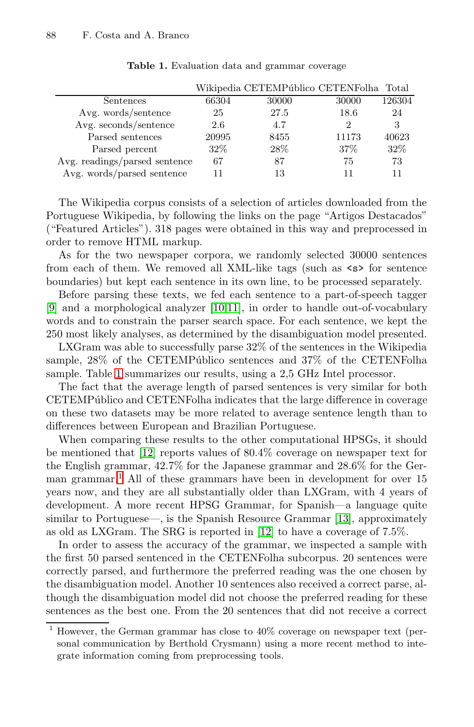#### 88 F. Costa and A. Branco

**Table 1.** Evaluation data and grammar coverage

|                               |       | Wikipedia CETEMPúblico CETENFolha Total |       |        |
|-------------------------------|-------|-----------------------------------------|-------|--------|
| Sentences                     | 66304 | 30000                                   | 30000 | 126304 |
| Avg. words/sentence           | 25    | 27.5                                    | 18.6  | 24     |
| Avg. seconds/sentence         | 2.6   | 4.7                                     | 2     | 3      |
| Parsed sentences              | 20995 | 8455                                    | 11173 | 40623  |
| Parsed percent                | 32\%  | 28\%                                    | 37%   | 32%    |
| Avg. readings/parsed sentence | 67    | 87                                      | 75    | 73     |
| Avg. words/parsed sentence    | 11    | 13                                      | า า   |        |

The Wikiped[ia](#page-3-6) [cor](#page-3-7)pus consists of a selection of articles downloaded from the Portuguese Wikipedia, by following the links on the page "Artigos Destacados" ("Featured Articles"). 318 pages were obtained in this way and preprocessed in order to remove HTML markup.

As for the two newspaper corpora, we randomly selected 30000 sentences from each of them. We removed all XML-like tags (such as  $\leq$  5 for sentence boundaries) but kept each sentence in its own line, to be processed separately.

Before parsing these texts, we fed each sentence to a part-of-speech tagger [9] and a morphological analyzer [10,11], in order to handle out-of-vocabulary words and to constrain the parser search space. For each sentence, we kept the 250 most likely analyses, as determined by the disambiguation model presented.

[L](#page-3-8)XGram was able to successfully parse 32% of the sentences in the Wikipedia sample, 28% of the CETEMPúblico sentences and 37% of the CETENFolha sample. Table 1 summarizes our results, using a 2,5 GHz Intel processor.

The fact that the average length of parsed sentences is very similar for both CETEMPúblico and CETENFolha indicates that the large difference in coverage on these two datasets may be more relat[ed](#page-3-9) to average sentence length than to differences between Euro[pea](#page-3-8)n and Brazilian Portuguese.

When comparing these results to the other computational HPSGs, it should be mentioned that [12] reports values of 80.4% coverage on newspaper text for the English grammar, 42.7% for the Japanese grammar and 28.6% for the German grammar.<sup>1</sup> All of these grammars have been in development for over 15 years now, and they are all substantially older than LXGram, with 4 years of development. A more recent HPSG Grammar, for Spanish—a language quite similar to Portuguese—, is the Spanish Resource Grammar [13], approximately as old as LXGram. The SRG is reported in [12] to have a coverage of 7.5%.

In order to assess the accuracy of the grammar, we inspected a sample with the first 50 parsed sentenced in the CETENFolha subcorpus. 20 sentences were correctly parsed, and furthermore the preferred reading was the one chosen by the disambiguation model. Another 10 sentences also received a correct parse, although the disambiguation model did not choose the preferred reading for these sentences as the best one. From the 20 sentences that did not receive a correct

<sup>1</sup> However, the German grammar has close to 40% coverage on newspaper text (personal communication by Berthold Crysmann) using a more recent method to integrate information coming from preprocessing tools.